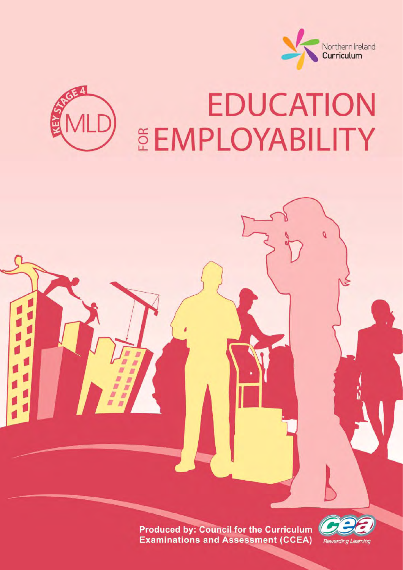

Ó



# **EDUCATION EEMPLOYABILITY**

**Produced by: Council for the Curriculum Examinations and Assessment (CCEA)** 

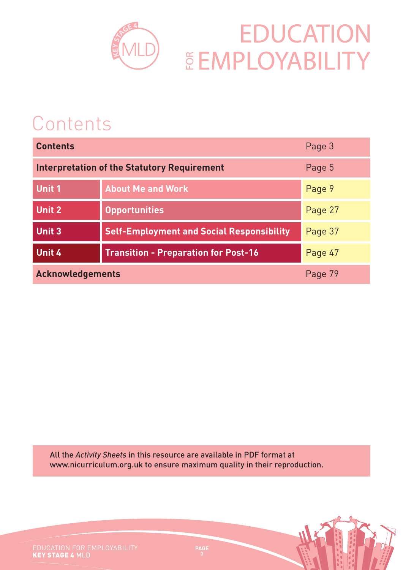

## Contents

| <b>Contents</b>                                    |                                                  | Page 3  |
|----------------------------------------------------|--------------------------------------------------|---------|
| <b>Interpretation of the Statutory Requirement</b> |                                                  | Page 5  |
| <b>Unit 1</b>                                      | <b>About Me and Work</b>                         | Page 9  |
| Unit 2                                             | <b>Opportunities</b>                             | Page 27 |
| <b>Unit 3</b>                                      | <b>Self-Employment and Social Responsibility</b> | Page 37 |
| Unit 4                                             | <b>Transition - Preparation for Post-16</b>      | Page 47 |
| <b>Acknowledgements</b>                            |                                                  | Page 79 |

All the *Activity Sheets* in this resource are available in PDF format at www.nicurriculum.org.uk to ensure maximum quality in their reproduction.

EDUCATION FOR EMPLOYABILITY KEY STAGE 4 MLD

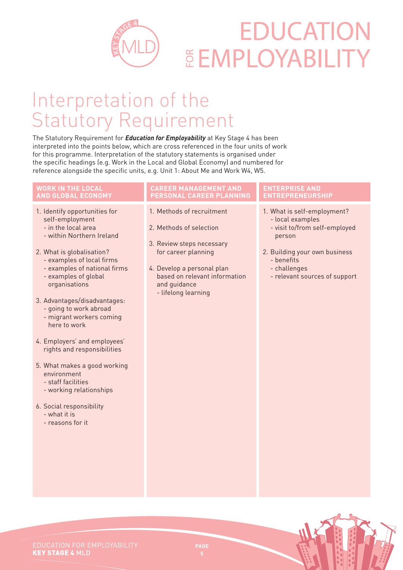

## **EDUCATION** EMPLOYABILI

### Interpretation of the Statutory Requirement

The Statutory Requirement for *Education for Employability* at Key Stage 4 has been interpreted into the points below, which are cross referenced in the four units of work for this programme. Interpretation of the statutory statements is organised under the specific headings (e.g. Work in the Local and Global Economy) and numbered for reference alongside the specific units, e.g. Unit 1: About Me and Work W4, W5.

#### **WORK IN THE LOCAL AND GLOBAL ECONOMY**

- 1. Identify opportunities for self-employment
	- in the local area
	- within Northern Ireland
- 2. What is globalisation?
	- examples of local firms
	- examples of national firms - examples of global
	- organisations
- 3. Advantages/disadvantages:
	- going to work abroad
	- migrant workers coming here to work
- 4. Employers' and employees' rights and responsibilities
- 5. What makes a good working environment
	- staff facilities
	- working relationships
- 6. Social responsibility
	- what it is
	- reasons for it

#### **CAREER MANAGEMENT AND PERSONAL CAREER PLANNING**

- 1. Methods of recruitment
- 2. Methods of selection
- 3. Review steps necessary for career planning
- 4. Develop a personal plan based on relevant information and guidance - lifelong learning

#### **ENTERPRISE AND ENTREPRENEURSHIP**

- 1. What is self-employment? - local examples
	- visit to/from self-employed person
- 2. Building your own business - benefits
	- challenges
	- relevant sources of support